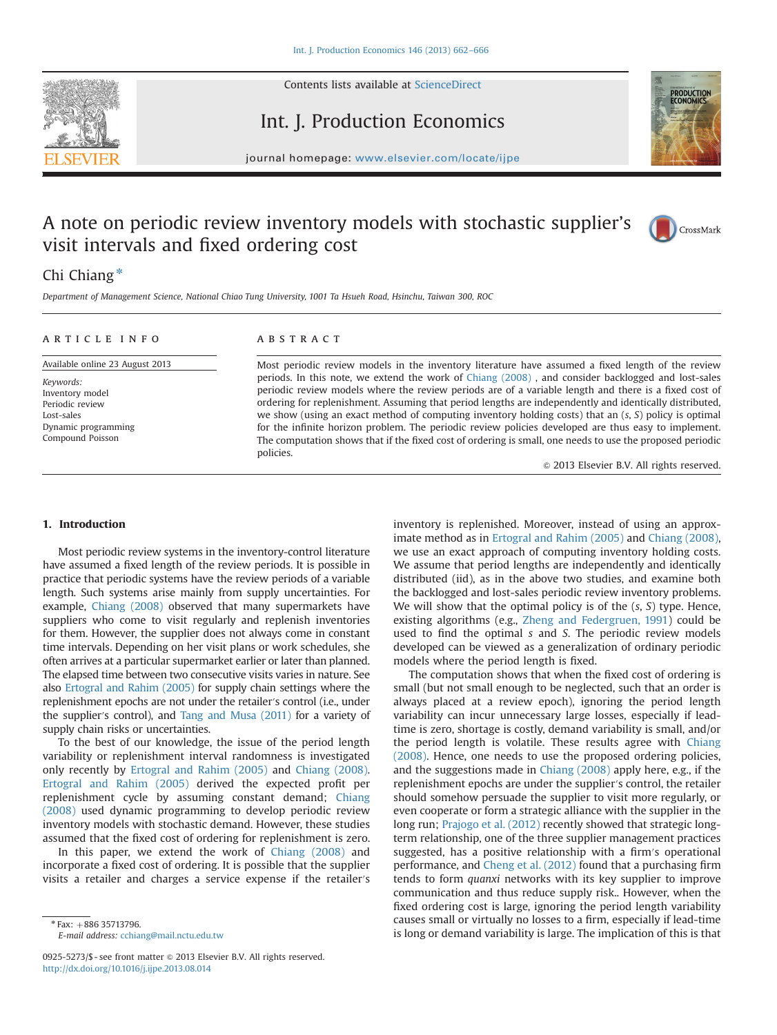

Contents lists available at [ScienceDirect](www.sciencedirect.com/science/journal/09255273)

Int. J. Production Economics



journal homepage: <www.elsevier.com/locate/ijpe>

## A note on periodic review inventory models with stochastic supplier's visit intervals and fixed ordering cost



### Chi Chiang $*$

Department of Management Science, National Chiao Tung University, 1001 Ta Hsueh Road, Hsinchu, Taiwan 300, ROC

| ARTICLE INFO                                                                                             | <b>ABSTRACT</b>                                                                                                                                                                                                                                                                                                                                                                                                                                                                                                                                                                                                                                      |
|----------------------------------------------------------------------------------------------------------|------------------------------------------------------------------------------------------------------------------------------------------------------------------------------------------------------------------------------------------------------------------------------------------------------------------------------------------------------------------------------------------------------------------------------------------------------------------------------------------------------------------------------------------------------------------------------------------------------------------------------------------------------|
| Available online 23 August 2013                                                                          | Most periodic review models in the inventory literature have assumed a fixed length of the review                                                                                                                                                                                                                                                                                                                                                                                                                                                                                                                                                    |
| Keywords:<br>Inventory model<br>Periodic review<br>Lost-sales<br>Dynamic programming<br>Compound Poisson | periods. In this note, we extend the work of Chiang (2008), and consider backlogged and lost-sales<br>periodic review models where the review periods are of a variable length and there is a fixed cost of<br>ordering for replenishment. Assuming that period lengths are independently and identically distributed<br>we show (using an exact method of computing inventory holding costs) that an $(s, S)$ policy is optimal<br>for the infinite horizon problem. The periodic review policies developed are thus easy to implement<br>The computation shows that if the fixed cost of ordering is small, one needs to use the proposed periodic |
|                                                                                                          | policies.                                                                                                                                                                                                                                                                                                                                                                                                                                                                                                                                                                                                                                            |

#### 1. Introduction

Most periodic review systems in the inventory-control literature have assumed a fixed length of the review periods. It is possible in practice that periodic systems have the review periods of a variable length. Such systems arise mainly from supply uncertainties. For example, [Chiang \(2008\)](#page--1-0) observed that many supermarkets have suppliers who come to visit regularly and replenish inventories for them. However, the supplier does not always come in constant time intervals. Depending on her visit plans or work schedules, she often arrives at a particular supermarket earlier or later than planned. The elapsed time between two consecutive visits varies in nature. See also [Ertogral and Rahim \(2005\)](#page--1-0) for supply chain settings where the replenishment epochs are not under the retailer′s control (i.e., under the supplier′s control), and [Tang and Musa \(2011\)](#page--1-0) for a variety of supply chain risks or uncertainties.

To the best of our knowledge, the issue of the period length variability or replenishment interval randomness is investigated only recently by [Ertogral and Rahim \(2005\)](#page--1-0) and [Chiang \(2008\).](#page--1-0) [Ertogral and Rahim \(2005\)](#page--1-0) derived the expected profit per replenishment cycle by assuming constant demand; [Chiang](#page--1-0) [\(2008\)](#page--1-0) used dynamic programming to develop periodic review inventory models with stochastic demand. However, these studies assumed that the fixed cost of ordering for replenishment is zero.

In this paper, we extend the work of [Chiang \(2008\)](#page--1-0) and incorporate a fixed cost of ordering. It is possible that the supplier visits a retailer and charges a service expense if the retailer′s

 $*$  Fax:  $+886$  35713796.

E-mail address: [cchiang@mail.nctu.edu.tw](mailto:cchiang@mail.nctu.edu.tw)

inventory is replenished. Moreover, instead of using an approximate method as in [Ertogral and Rahim \(2005\)](#page--1-0) and [Chiang \(2008\),](#page--1-0) we use an exact approach of computing inventory holding costs. We assume that period lengths are independently and identically distributed (iid), as in the above two studies, and examine both the backlogged and lost-sales periodic review inventory problems. We will show that the optimal policy is of the  $(s, S)$  type. Hence, existing algorithms (e.g., [Zheng and Federgruen, 1991](#page--1-0)) could be used to find the optimal s and S. The periodic review models developed can be viewed as a generalization of ordinary periodic

 $\odot$  2013 Elsevier B.V. All rights reserved.

models where the period length is fixed. The computation shows that when the fixed cost of ordering is small (but not small enough to be neglected, such that an order is always placed at a review epoch), ignoring the period length variability can incur unnecessary large losses, especially if leadtime is zero, shortage is costly, demand variability is small, and/or the period length is volatile. These results agree with [Chiang](#page--1-0) [\(2008\)](#page--1-0). Hence, one needs to use the proposed ordering policies, and the suggestions made in [Chiang \(2008\)](#page--1-0) apply here, e.g., if the replenishment epochs are under the supplier′s control, the retailer should somehow persuade the supplier to visit more regularly, or even cooperate or form a strategic alliance with the supplier in the long run; [Prajogo et al. \(2012\)](#page--1-0) recently showed that strategic longterm relationship, one of the three supplier management practices suggested, has a positive relationship with a firm′s operational performance, and [Cheng et al. \(2012\)](#page--1-0) found that a purchasing firm tends to form quanxi networks with its key supplier to improve communication and thus reduce supply risk.. However, when the fixed ordering cost is large, ignoring the period length variability causes small or virtually no losses to a firm, especially if lead-time is long or demand variability is large. The implication of this is that

<sup>0925-5273/\$ -</sup> see front matter  $\circ$  2013 Elsevier B.V. All rights reserved. <http://dx.doi.org/10.1016/j.ijpe.2013.08.014>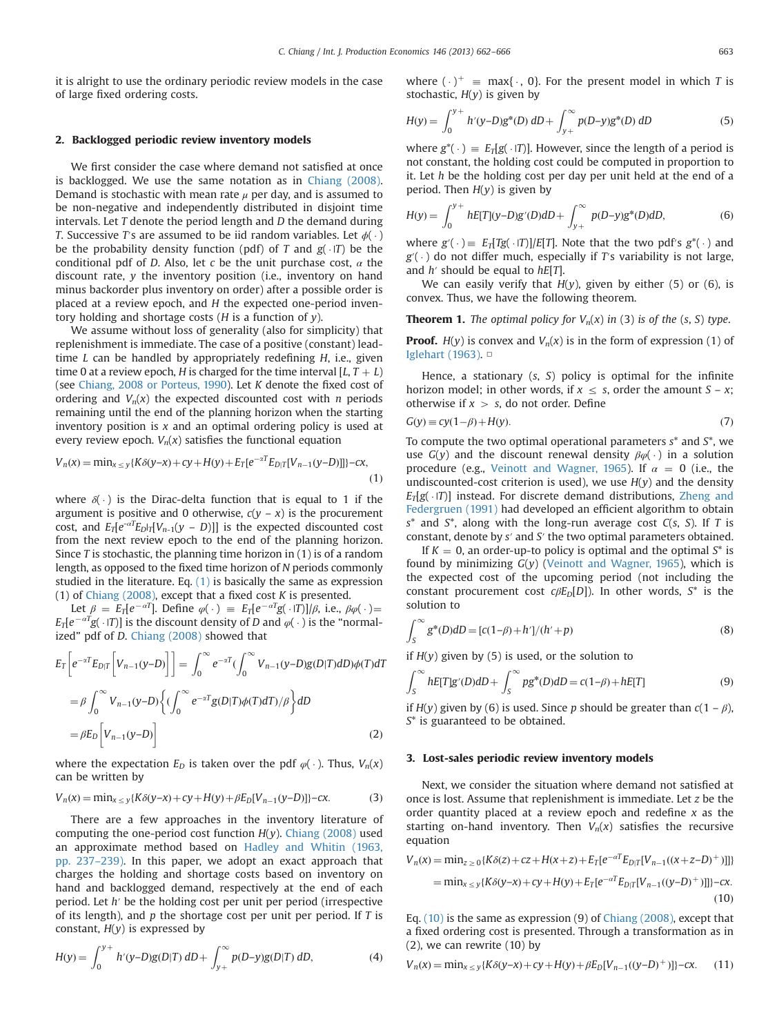it is alright to use the ordinary periodic review models in the case of large fixed ordering costs.

#### 2. Backlogged periodic review inventory models

We first consider the case where demand not satisfied at once is backlogged. We use the same notation as in [Chiang \(2008\).](#page--1-0) Demand is stochastic with mean rate  $\mu$  per day, and is assumed to be non-negative and independently distributed in disjoint time intervals. Let T denote the period length and D the demand during T. Successive T's are assumed to be iid random variables. Let  $\phi(\cdot)$ <br>be the probability density function (pdf) of T and  $\phi(\cdot)$  be the be the probability density function (pdf) of T and  $g(\cdot|T)$  be the conditional pdf of D. Also, let c be the unit purchase cost  $\alpha$  the conditional pdf of D. Also, let c be the unit purchase cost,  $\alpha$  the discount rate, y the inventory position (i.e., inventory on hand minus backorder plus inventory on order) after a possible order is placed at a review epoch, and H the expected one-period inventory holding and shortage costs ( $H$  is a function of  $y$ ).

We assume without loss of generality (also for simplicity) that replenishment is immediate. The case of a positive (constant) leadtime  $L$  can be handled by appropriately redefining  $H$ , i.e., given time 0 at a review epoch, H is charged for the time interval  $[L, T + L)$ (see [Chiang, 2008 or Porteus, 1990\)](#page--1-0). Let K denote the fixed cost of ordering and  $V_n(x)$  the expected discounted cost with *n* periods remaining until the end of the planning horizon when the starting inventory position is  $x$  and an optimal ordering policy is used at every review epoch.  $V_n(x)$  satisfies the functional equation

$$
V_n(x) = \min_{x \le y} \{ K \delta(y - x) + cy + H(y) + E_T[e^{-xT} E_{D|T}[V_{n-1}(y - D)]] \} - cx,
$$
\n(1)

where  $\delta(\cdot)$  is the Dirac-delta function that is equal to 1 if the procurement argument is positive and 0 otherwise,  $c(y - x)$  is the procurement cost, and  $E_T[e^{-\alpha T}E_D|\tau|V_{n-1}(y - D)]]$  is the expected discounted cost from the next review epoch to the end of the planning horizon. Since T is stochastic, the planning time horizon in  $(1)$  is of a random length, as opposed to the fixed time horizon of N periods commonly studied in the literature. Eq. (1) is basically the same as expression (1) of [Chiang \(2008\),](#page--1-0) except that a fixed cost  $K$  is presented.

Let  $\beta = E_T[e^{-\alpha T}]$ . Define  $\varphi(\cdot) = E_T[e^{-\alpha T}g(\cdot|T)]/\beta$ , i.e.,  $\beta \varphi(\cdot) =$ <br> $e^{-\alpha T}g(\cdot|T)$  is the discount density of D and  $\varphi(\cdot)$  is the "normal- $E_T[e^{-\alpha T}g(\cdot|T)]$  is the discount density of D and  $\varphi(\cdot)$  is the "normal-<br>ized" ndf of D. Chinna (2008) showed that ized" pdf of D. [Chiang \(2008\)](#page--1-0) showed that

$$
E_T \left[ e^{-\alpha T} E_{D|T} \left[ V_{n-1} (y - D) \right] \right] = \int_0^\infty e^{-\alpha T} \left( \int_0^\infty V_{n-1} (y - D) g(D|T) dD \right) \phi(T) dT
$$
  
\n
$$
= \beta \int_0^\infty V_{n-1} (y - D) \left\{ \left( \int_0^\infty e^{-\alpha T} g(D|T) \phi(T) dT \right) / \beta \right\} dD
$$
  
\n
$$
= \beta E_D \left[ V_{n-1} (y - D) \right]
$$
 (2)

where the expectation  $E_D$  is taken over the pdf  $\varphi(\cdot)$ . Thus,  $V_n(x)$ <br>can be written by can be written by

$$
V_n(x) = \min_{x \le y} \{ K \delta(y - x) + cy + H(y) + \beta E_D[V_{n-1}(y - D)] \} - cx.
$$
 (3)

There are a few approaches in the inventory literature of computing the one-period cost function  $H(y)$ . [Chiang \(2008\)](#page--1-0) used an approximate method based on [Hadley and Whitin \(1963,](#page--1-0) [pp. 237](#page--1-0)–239). In this paper, we adopt an exact approach that charges the holding and shortage costs based on inventory on hand and backlogged demand, respectively at the end of each period. Let h′ be the holding cost per unit per period (irrespective of its length), and  $p$  the shortage cost per unit per period. If  $T$  is constant,  $H(y)$  is expressed by

$$
H(y) = \int_0^{y+} h'(y-D)g(D|T) \, dD + \int_{y+}^{\infty} p(D-y)g(D|T) \, dD,\tag{4}
$$

where  $(\cdot)^+ \equiv \max\{\cdot, 0\}$ . For the present model in which T is stochastic  $H(y)$  is given by stochastic,  $H(y)$  is given by

$$
H(y) = \int_0^{y+} h'(y-D)g^*(D) \, dD + \int_{y+}^{\infty} p(D-y)g^*(D) \, dD \tag{5}
$$

where  $g^*(\cdot) \equiv E_T[g(\cdot|T)]$ . However, since the length of a period is<br>not constant, the holding cost could be computed in proportion to not constant, the holding cost could be computed in proportion to it. Let  $h$  be the holding cost per day per unit held at the end of a period. Then  $H(y)$  is given by

$$
H(y) = \int_0^{y+} hE[T](y-D)g'(D)dD + \int_{y+}^{\infty} p(D-y)g^*(D)dD,
$$
 (6)

where  $g'(\cdot) \equiv E_T[Tg(\cdot|T)]/E[T]$ . Note that the two pdf's  $g^*(\cdot)$  and  $g'(\cdot)$  and differ much especially if  $Ts$  variability is not large  $g'(\cdot)$  do not differ much, especially if T's variability is not large,<br>and h' should be equal to hEUI and  $h'$  should be equal to  $hE[T]$ .

We can easily verify that  $H(y)$ , given by either (5) or (6), is convex. Thus, we have the following theorem.

**Theorem 1.** The optimal policy for  $V_n(x)$  in (3) is of the (s, S) type.

**Proof.**  $H(y)$  is convex and  $V_n(x)$  is in the form of expression (1) of [Iglehart \(1963\)](#page--1-0). □

Hence, a stationary  $(s, S)$  policy is optimal for the infinite horizon model; in other words, if  $x \leq s$ , order the amount  $S - x$ ; otherwise if  $x > s$ , do not order. Define

$$
G(y) \equiv cy(1 - \beta) + H(y). \tag{7}
$$

To compute the two optimal operational parameters  $s^*$  and  $S^*$ , we use  $G(y)$  and the discount renewal density  $\beta \varphi(\cdot)$  in a solution<br>procedure (e.g. Veinott and Wagner 1965) If  $\alpha = 0$  (i.e. the procedure (e.g., [Veinott and Wagner, 1965\)](#page--1-0). If  $\alpha = 0$  (i.e., the undiscounted-cost criterion is used), we use  $H(y)$  and the density  $E_T[g(\cdot|T)]$  instead. For discrete demand distributions, [Zheng and](#page--1-0)<br>Federatuen (1991) had developed an efficient algorithm to obtain [Federgruen \(1991\)](#page--1-0) had developed an efficient algorithm to obtain  $s^*$  and  $S^*$ , along with the long-run average cost  $C(s, S)$ . If T is constant, denote by s′ and S′ the two optimal parameters obtained.

If  $K = 0$ , an order-up-to policy is optimal and the optimal  $S^*$  is found by minimizing  $G(y)$  [\(Veinott and Wagner, 1965](#page--1-0)), which is the expected cost of the upcoming period (not including the constant procurement cost  $c\beta E_D[D]$ ). In other words, S<sup>\*</sup> is the solution to

$$
\int_{S}^{\infty} g^{*}(D)dD = [c(1-\beta) + h']/(h' + p)
$$
\n(8)

if  $H(y)$  given by (5) is used, or the solution to

$$
\int_{S}^{\infty} hE[T]g'(D)dD + \int_{S}^{\infty} pg^*(D)dD = c(1-\beta) + hE[T]
$$
\n(9)

if  $H(y)$  given by (6) is used. Since p should be greater than  $c(1 - \beta)$ , S\* is guaranteed to be obtained.

#### 3. Lost-sales periodic review inventory models

Next, we consider the situation where demand not satisfied at once is lost. Assume that replenishment is immediate. Let z be the order quantity placed at a review epoch and redefine  $x$  as the starting on-hand inventory. Then  $V_n(x)$  satisfies the recursive equation

$$
V_n(x) = \min_{z \ge 0} \{ K \delta(z) + cz + H(x + z) + E_T[e^{-\alpha T}E_{D|T}[V_{n-1}((x + z - D)^+)]] \}
$$
  
=  $\min_{x \le y} \{ K \delta(y - x) + cy + H(y) + E_T[e^{-\alpha T}E_{D|T}[V_{n-1}((y - D)^+)]] \} - cx.$  (10)

Eq. (10) is the same as expression (9) of [Chiang \(2008\)](#page--1-0), except that a fixed ordering cost is presented. Through a transformation as in (2), we can rewrite (10) by

$$
V_n(x) = \min_{x \le y} \{ K \delta(y - x) + cy + H(y) + \beta E_D[V_{n-1}((y - D)^+)] \} - cx.
$$
 (11)